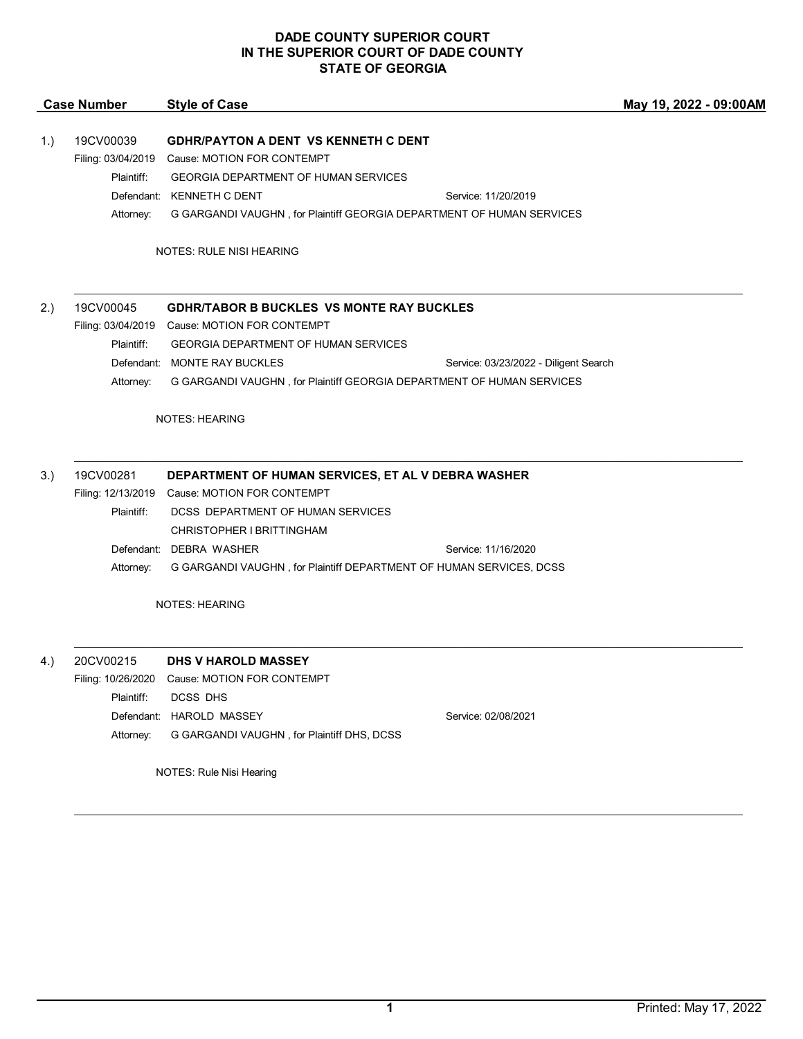|     | <b>Case Number</b> | <b>Style of Case</b>                                                                         |                                       | May 19, 2022 - 09:00AM |
|-----|--------------------|----------------------------------------------------------------------------------------------|---------------------------------------|------------------------|
|     |                    |                                                                                              |                                       |                        |
| 1.) | 19CV00039          | <b>GDHR/PAYTON A DENT VS KENNETH C DENT</b>                                                  |                                       |                        |
|     | Plaintiff:         | Filing: 03/04/2019 Cause: MOTION FOR CONTEMPT<br><b>GEORGIA DEPARTMENT OF HUMAN SERVICES</b> |                                       |                        |
|     |                    | Defendant: KENNETH C DENT                                                                    | Service: 11/20/2019                   |                        |
|     | Attorney:          | G GARGANDI VAUGHN, for Plaintiff GEORGIA DEPARTMENT OF HUMAN SERVICES                        |                                       |                        |
|     |                    |                                                                                              |                                       |                        |
|     |                    | <b>NOTES: RULE NISI HEARING</b>                                                              |                                       |                        |
| 2.) | 19CV00045          | <b>GDHR/TABOR B BUCKLES VS MONTE RAY BUCKLES</b>                                             |                                       |                        |
|     |                    | Filing: 03/04/2019 Cause: MOTION FOR CONTEMPT                                                |                                       |                        |
|     | Plaintiff:         | <b>GEORGIA DEPARTMENT OF HUMAN SERVICES</b>                                                  |                                       |                        |
|     |                    | Defendant: MONTE RAY BUCKLES                                                                 | Service: 03/23/2022 - Diligent Search |                        |
|     | Attorney:          | G GARGANDI VAUGHN, for Plaintiff GEORGIA DEPARTMENT OF HUMAN SERVICES                        |                                       |                        |
|     |                    |                                                                                              |                                       |                        |
|     |                    | <b>NOTES: HEARING</b>                                                                        |                                       |                        |
|     |                    |                                                                                              |                                       |                        |
| 3.  | 19CV00281          | DEPARTMENT OF HUMAN SERVICES, ET AL V DEBRA WASHER                                           |                                       |                        |
|     |                    | Filing: 12/13/2019 Cause: MOTION FOR CONTEMPT                                                |                                       |                        |
|     | Plaintiff:         | DCSS DEPARTMENT OF HUMAN SERVICES                                                            |                                       |                        |
|     |                    | CHRISTOPHER I BRITTINGHAM                                                                    |                                       |                        |
|     |                    | Defendant: DEBRA WASHER                                                                      | Service: 11/16/2020                   |                        |
|     | Attorney:          | G GARGANDI VAUGHN, for Plaintiff DEPARTMENT OF HUMAN SERVICES, DCSS                          |                                       |                        |
|     |                    | <b>NOTES: HEARING</b>                                                                        |                                       |                        |
|     |                    |                                                                                              |                                       |                        |
| 4.) | 20CV00215          | DHS V HAROLD MASSEY                                                                          |                                       |                        |
|     |                    | Filing: 10/26/2020 Cause: MOTION FOR CONTEMPT                                                |                                       |                        |
|     | Plaintiff:         | <b>DCSS DHS</b>                                                                              |                                       |                        |
|     |                    | Defendant: HAROLD MASSEY                                                                     | Service: 02/08/2021                   |                        |
|     | Attorney:          | G GARGANDI VAUGHN, for Plaintiff DHS, DCSS                                                   |                                       |                        |

NOTES: Rule Nisi Hearing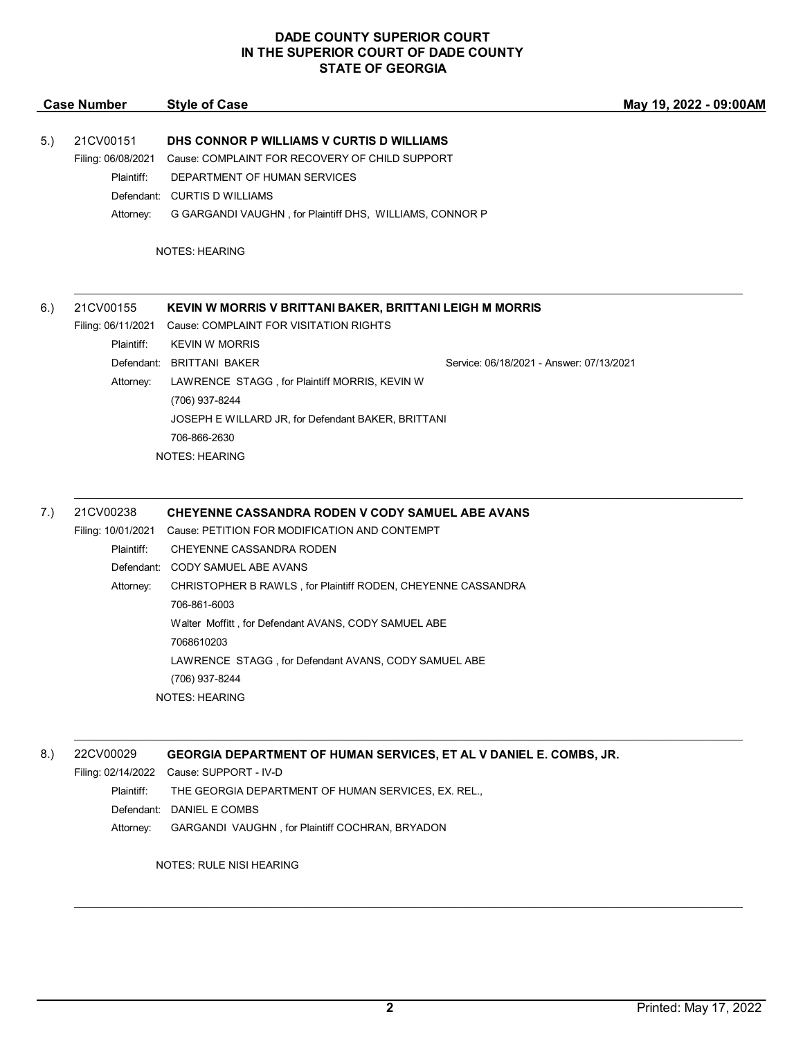| <b>Case Number</b> | <b>Style of Case</b>                                                 |                                                                                                                                 | May 19, 2022 - 09:00AM                                                                                                                                                                                                                                                                                                |
|--------------------|----------------------------------------------------------------------|---------------------------------------------------------------------------------------------------------------------------------|-----------------------------------------------------------------------------------------------------------------------------------------------------------------------------------------------------------------------------------------------------------------------------------------------------------------------|
| 21CV00151          |                                                                      |                                                                                                                                 |                                                                                                                                                                                                                                                                                                                       |
| Plaintiff:         | DEPARTMENT OF HUMAN SERVICES                                         |                                                                                                                                 |                                                                                                                                                                                                                                                                                                                       |
|                    | <b>CURTIS D WILLIAMS</b>                                             |                                                                                                                                 |                                                                                                                                                                                                                                                                                                                       |
| Attorney:          |                                                                      |                                                                                                                                 |                                                                                                                                                                                                                                                                                                                       |
|                    |                                                                      |                                                                                                                                 |                                                                                                                                                                                                                                                                                                                       |
| 21CV00155          |                                                                      |                                                                                                                                 |                                                                                                                                                                                                                                                                                                                       |
|                    |                                                                      |                                                                                                                                 |                                                                                                                                                                                                                                                                                                                       |
|                    |                                                                      |                                                                                                                                 |                                                                                                                                                                                                                                                                                                                       |
| Attorney:          | LAWRENCE STAGG, for Plaintiff MORRIS, KEVIN W<br>(706) 937-8244      |                                                                                                                                 |                                                                                                                                                                                                                                                                                                                       |
|                    |                                                                      |                                                                                                                                 |                                                                                                                                                                                                                                                                                                                       |
|                    | 706-866-2630                                                         |                                                                                                                                 |                                                                                                                                                                                                                                                                                                                       |
|                    | <b>NOTES: HEARING</b>                                                |                                                                                                                                 |                                                                                                                                                                                                                                                                                                                       |
|                    | Filing: 06/08/2021<br>Filing: 06/11/2021<br>Plaintiff:<br>Defendant: | Defendant:<br><b>NOTES: HEARING</b><br>Cause: COMPLAINT FOR VISITATION RIGHTS<br><b>KEVIN W MORRIS</b><br><b>BRITTANI BAKER</b> | DHS CONNOR P WILLIAMS V CURTIS D WILLIAMS<br>Cause: COMPLAINT FOR RECOVERY OF CHILD SUPPORT<br>G GARGANDI VAUGHN, for Plaintiff DHS, WILLIAMS, CONNOR P<br>KEVIN W MORRIS V BRITTANI BAKER, BRITTANI LEIGH M MORRIS<br>Service: 06/18/2021 - Answer: 07/13/2021<br>JOSEPH E WILLARD JR, for Defendant BAKER, BRITTANI |

Filing: 10/01/2021 Cause: PETITION FOR MODIFICATION AND CONTEMPT Plaintiff: CHEYENNE CASSANDRA RODEN Defendant: CODY SAMUEL ABE AVANS Attorney: CHRISTOPHER B RAWLS , for Plaintiff RODEN, CHEYENNE CASSANDRA 706-861-6003 Walter Moffitt , for Defendant AVANS, CODY SAMUEL ABE 7068610203 LAWRENCE STAGG , for Defendant AVANS, CODY SAMUEL ABE (706) 937-8244 NOTES: HEARING

8.) 22CV00029 **GEORGIA DEPARTMENT OF HUMAN SERVICES, ET AL V DANIEL E. COMBS, JR.**

Filing: 02/14/2022 Cause: SUPPORT - IV-D

Plaintiff: THE GEORGIA DEPARTMENT OF HUMAN SERVICES, EX. REL.,

Defendant: DANIEL E COMBS

Attorney: GARGANDI VAUGHN , for Plaintiff COCHRAN, BRYADON

NOTES: RULE NISI HEARING

\_\_\_\_\_\_\_\_\_\_\_\_\_\_\_\_\_\_\_\_\_\_\_\_\_\_\_\_\_\_\_\_\_\_\_\_\_\_\_\_\_\_\_\_\_\_\_\_\_\_\_\_\_\_\_\_\_\_\_\_\_\_\_\_\_\_\_\_\_\_\_\_\_\_\_\_\_\_\_\_\_\_\_\_\_\_\_\_\_\_\_\_\_\_\_\_\_\_\_\_\_\_\_\_\_\_\_\_\_\_\_\_\_\_\_\_\_\_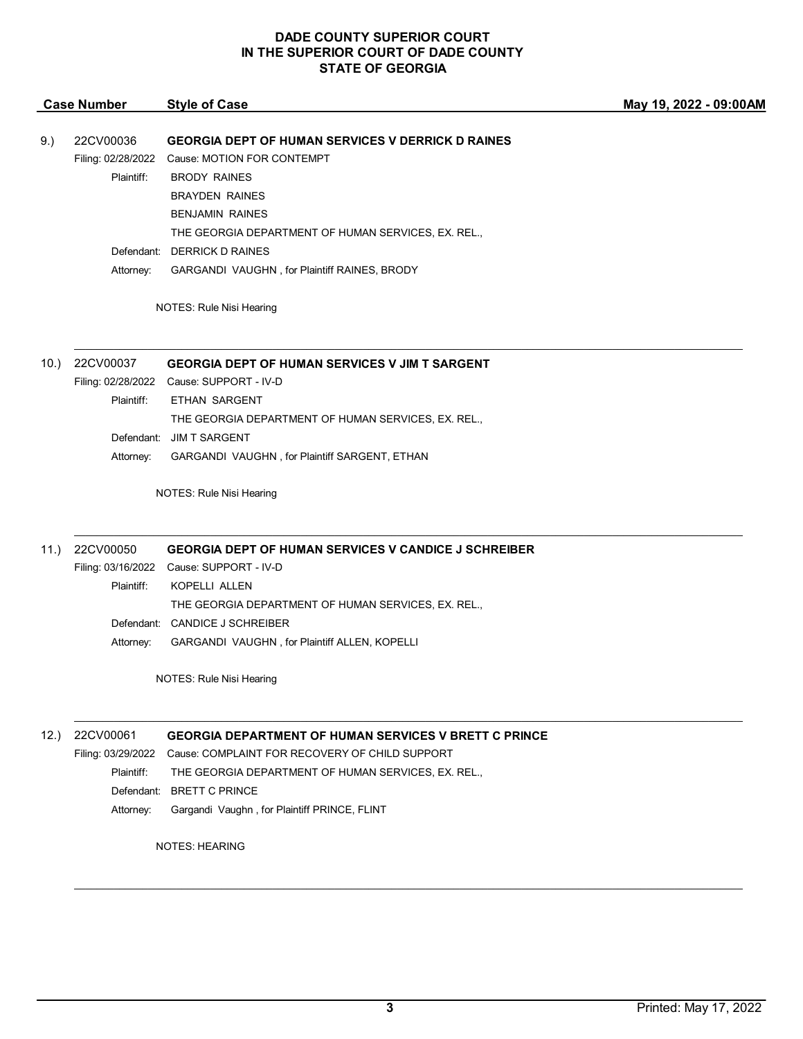|      | <b>Case Number</b>                            | <b>Style of Case</b>                                                                                                                                                            | May 19, 2022 - 09:00AM |
|------|-----------------------------------------------|---------------------------------------------------------------------------------------------------------------------------------------------------------------------------------|------------------------|
| 9.)  | 22CV00036<br>Filing: 02/28/2022<br>Plaintiff: | <b>GEORGIA DEPT OF HUMAN SERVICES V DERRICK D RAINES</b><br>Cause: MOTION FOR CONTEMPT<br><b>BRODY RAINES</b><br><b>BRAYDEN RAINES</b><br><b>BENJAMIN RAINES</b>                |                        |
|      | Attorney:                                     | THE GEORGIA DEPARTMENT OF HUMAN SERVICES, EX. REL.,<br>Defendant: DERRICK D RAINES<br>GARGANDI VAUGHN, for Plaintiff RAINES, BRODY                                              |                        |
|      |                                               | NOTES: Rule Nisi Hearing                                                                                                                                                        |                        |
| 10.  | 22CV00037                                     | <b>GEORGIA DEPT OF HUMAN SERVICES V JIM T SARGENT</b>                                                                                                                           |                        |
|      | Plaintiff:                                    | Filing: 02/28/2022 Cause: SUPPORT - IV-D<br>ETHAN SARGENT<br>THE GEORGIA DEPARTMENT OF HUMAN SERVICES, EX. REL.,                                                                |                        |
|      | Attorney:                                     | Defendant: JIM T SARGENT<br>GARGANDI VAUGHN, for Plaintiff SARGENT, ETHAN                                                                                                       |                        |
|      |                                               | NOTES: Rule Nisi Hearing                                                                                                                                                        |                        |
| 11.) | 22CV00050<br>Plaintiff:                       | <b>GEORGIA DEPT OF HUMAN SERVICES V CANDICE J SCHREIBER</b><br>Filing: 03/16/2022 Cause: SUPPORT - IV-D<br>KOPELLI ALLEN<br>THE GEORGIA DEPARTMENT OF HUMAN SERVICES, EX. REL., |                        |
|      | Attorney:                                     | Defendant: CANDICE J SCHREIBER<br>GARGANDI VAUGHN, for Plaintiff ALLEN, KOPELLI                                                                                                 |                        |
|      |                                               | NOTES: Rule Nisi Hearing                                                                                                                                                        |                        |

12.) 22CV00061 **GEORGIA DEPARTMENT OF HUMAN SERVICES V BRETT C PRINCE**

Filing: 03/29/2022 Cause: COMPLAINT FOR RECOVERY OF CHILD SUPPORT

Plaintiff: THE GEORGIA DEPARTMENT OF HUMAN SERVICES, EX. REL.,

Defendant: BRETT C PRINCE

Attorney: Gargandi Vaughn , for Plaintiff PRINCE, FLINT

NOTES: HEARING